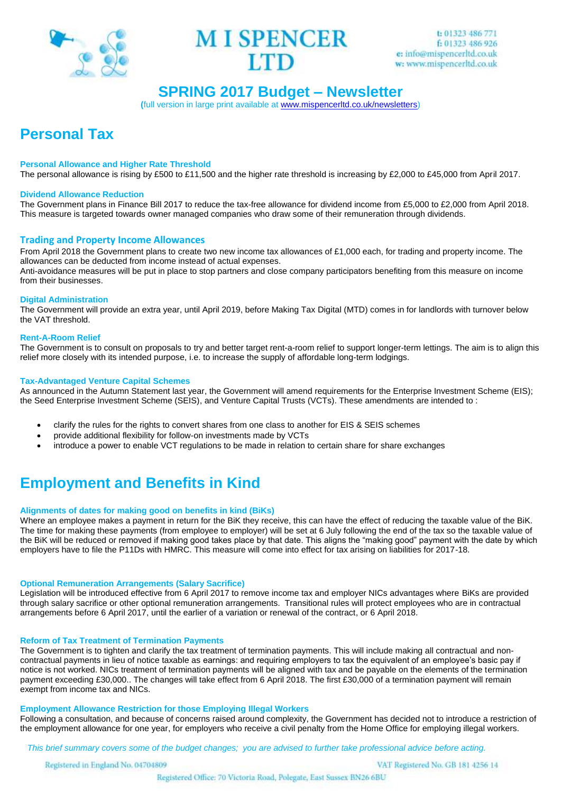



# **SPRING 2017 Budget – Newsletter**

**(**full version in large print available at [www.mispencerltd.co.uk/newsletters\)](http://www.mispencerltd.co.uk/newsletters)

# **Personal Tax**

#### **Personal Allowance and Higher Rate Threshold**

The personal allowance is rising by £500 to £11,500 and the higher rate threshold is increasing by £2,000 to £45,000 from April 2017.

#### **Dividend Allowance Reduction**

The Government plans in Finance Bill 2017 to reduce the tax-free allowance for dividend income from £5,000 to £2,000 from April 2018. This measure is targeted towards owner managed companies who draw some of their remuneration through dividends.

## **Trading and Property Income Allowances**

From April 2018 the Government plans to create two new income tax allowances of £1,000 each, for trading and property income. The allowances can be deducted from income instead of actual expenses. Anti-avoidance measures will be put in place to stop partners and close company participators benefiting from this measure on income from their businesses.

#### **Digital Administration**

The Government will provide an extra year, until April 2019, before Making Tax Digital (MTD) comes in for landlords with turnover below the VAT threshold.

#### **Rent-A-Room Relief**

The Government is to consult on proposals to try and better target rent-a-room relief to support longer-term lettings. The aim is to align this relief more closely with its intended purpose, i.e. to increase the supply of affordable long-term lodgings.

## **Tax-Advantaged Venture Capital Schemes**

As announced in the Autumn Statement last year, the Government will amend requirements for the Enterprise Investment Scheme (EIS); the Seed Enterprise Investment Scheme (SEIS), and Venture Capital Trusts (VCTs). These amendments are intended to :

- clarify the rules for the rights to convert shares from one class to another for EIS & SEIS schemes
- provide additional flexibility for follow-on investments made by VCTs
- introduce a power to enable VCT regulations to be made in relation to certain share for share exchanges

# **Employment and Benefits in Kind**

#### **Alignments of dates for making good on benefits in kind (BiKs)**

Where an employee makes a payment in return for the BiK they receive, this can have the effect of reducing the taxable value of the BiK. The time for making these payments (from employee to employer) will be set at 6 July following the end of the tax so the taxable value of the BiK will be reduced or removed if making good takes place by that date. This aligns the "making good" payment with the date by which employers have to file the P11Ds with HMRC. This measure will come into effect for tax arising on liabilities for 2017-18. 

#### **Optional Remuneration Arrangements (Salary Sacrifice)**

Legislation will be introduced effective from 6 April 2017 to remove income tax and employer NICs advantages where BiKs are provided through salary sacrifice or other optional remuneration arrangements. Transitional rules will protect employees who are in contractual arrangements before 6 April 2017, until the earlier of a variation or renewal of the contract, or 6 April 2018.

#### **Reform of Tax Treatment of Termination Payments**

The Government is to tighten and clarify the tax treatment of termination payments. This will include making all contractual and noncontractual payments in lieu of notice taxable as earnings: and requiring employers to tax the equivalent of an employee's basic pay if notice is not worked. NICs treatment of termination payments will be aligned with tax and be payable on the elements of the termination payment exceeding £30,000.. The changes will take effect from 6 April 2018. The first £30,000 of a termination payment will remain exempt from income tax and NICs.

#### **Employment Allowance Restriction for those Employing Illegal Workers**

Following a consultation, and because of concerns raised around complexity, the Government has decided not to introduce a restriction of the employment allowance for one year, for employers who receive a civil penalty from the Home Office for employing illegal workers.

 *This brief summary covers some of the budget changes; you are advised to further take professional advice before acting.*